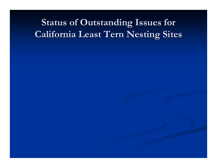# **Status of Outstanding Issues for California Least California Least Tern Nesting Sites Tern Nesting Sites**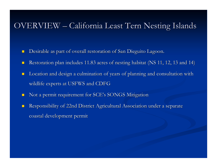#### OVERVIEW – California Least Tern Nesting Islands

- **.** Desirable as part of overall restoration of San Dieguito Lagoon.
- **.** Restoration plan includes 11.83 acres of nesting habitat (NS 11, 12, 13 and 14)
- **.** Location and design a culmination of years of planning and consultation with wildlife experts at USFWS and CDFG
- **.** Not a permit requirement for SCE's SONGS Mitigation
- **.** Responsibility of 22nd District Agricultural Association under a separate coastal development permit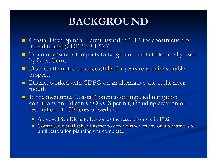## **BACKGROUND BACKGROUND**

- **Example 20 Fermit issued in 1984 for construction of infield tunnel (CDP**  $#6-84-525$ **)** -84 -525)
- $\blacksquare$  To compensate for impacts to fairground habitat historically used by Least Terns
- $\blacksquare$ District attempted unsuccessfully for years to acquire suitable property
- $\blacksquare$  District worked with CDFG on an alternative site at the river mouth
- $\blacksquare$  In the meantime, Coastal Commission imposed mitigation conditions on Edison's SONGS permit, including creation or restoration of 150 acres of wetland
	- $\blacksquare$  Approved San Dieguito Lagoon as the restoration site in 1992
	- $\blacksquare$  Commission staff asked District to defer further efforts on alternative site until restoration planning was completed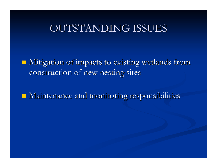### OUTSTANDING ISSUES

 $\blacksquare$  Mitigation of impacts to existing wetlands from construction of new nesting sites

 $\blacksquare$  Maintenance and monitoring responsibilities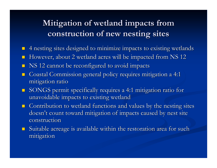### **Mitigation of wetland impacts from** construction of new nesting sites

- **. 1** 4 nesting sites designed to minimize impacts to existing wetlands
- **.** However, about 2 wetland acres will be impacted from NS 12
- **.** NS 12 cannot be reconfigured to avoid impacts
- **.** Coastal Commission general policy requires mitigation a 4:1 mitigation ratio
- **I** SONGS permit specifically requires a 4:1 mitigation ratio for unavoidable impacts to existing wetland
- $\blacksquare$  Contribution to wetland functions and values by the nesting sites doesn't count toward mitigation of impacts caused by nest site construction
- $\Box$  Suitable acreage is available within the restoration area for such mitigation mitigation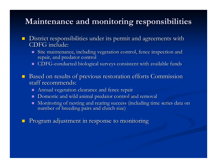#### **Maintenance and monitoring responsibilities Maintenance and monitoring responsibilities**

- **District responsibilities under its permit and agreements with** CDFG include:
	- $\blacksquare$  Site maintenance, including vegetation control, fence inspection and repair, and predator control
	- $\blacksquare$  CDFG-conducted biological surveys consistent with available funds
- **Based on results of previous restoration efforts Commission** staff recommends:
	- $\blacksquare$  Annual vegetation clearance and fence repair
	- **.** Domestic and wild animal predator control and removal
	- !Monitoring of nesting and rearing success (including time series data on number of breeding pairs and clutch size)
- **.** Program adjustment in response to monitoring